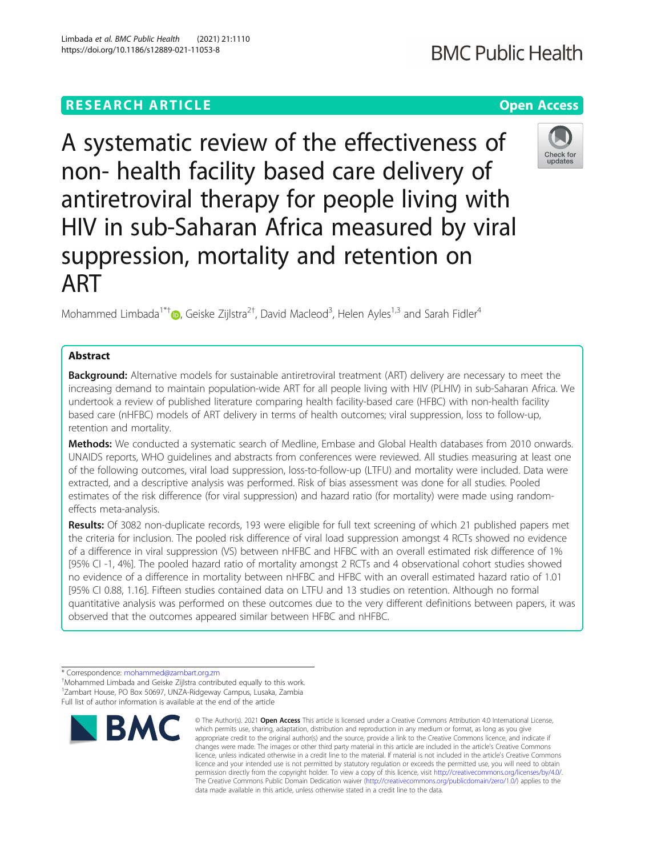# **RESEARCH ARTICLE Example 2014 12:30 The Contract of Contract ACCESS**

A systematic review of the effectiveness of non- health facility based care delivery of antiretroviral therapy for people living with HIV in sub-Saharan Africa measured by viral suppression, mortality and retention on ART

Mohammed Limbada<sup>1\*†</sup>®[,](http://orcid.org/0000-0002-3736-1462) Geiske Zijlstra<sup>2†</sup>, David Macleod<sup>3</sup>, Helen Ayles<sup>1,3</sup> and Sarah Fidler<sup>4</sup>

## Abstract

**Background:** Alternative models for sustainable antiretroviral treatment (ART) delivery are necessary to meet the increasing demand to maintain population-wide ART for all people living with HIV (PLHIV) in sub-Saharan Africa. We undertook a review of published literature comparing health facility-based care (HFBC) with non-health facility based care (nHFBC) models of ART delivery in terms of health outcomes; viral suppression, loss to follow-up, retention and mortality.

Methods: We conducted a systematic search of Medline, Embase and Global Health databases from 2010 onwards. UNAIDS reports, WHO guidelines and abstracts from conferences were reviewed. All studies measuring at least one of the following outcomes, viral load suppression, loss-to-follow-up (LTFU) and mortality were included. Data were extracted, and a descriptive analysis was performed. Risk of bias assessment was done for all studies. Pooled estimates of the risk difference (for viral suppression) and hazard ratio (for mortality) were made using randomeffects meta-analysis.

Results: Of 3082 non-duplicate records, 193 were eligible for full text screening of which 21 published papers met the criteria for inclusion. The pooled risk difference of viral load suppression amongst 4 RCTs showed no evidence of a difference in viral suppression (VS) between nHFBC and HFBC with an overall estimated risk difference of 1% [95% CI -1, 4%]. The pooled hazard ratio of mortality amongst 2 RCTs and 4 observational cohort studies showed no evidence of a difference in mortality between nHFBC and HFBC with an overall estimated hazard ratio of 1.01 [95% CI 0.88, 1.16]. Fifteen studies contained data on LTFU and 13 studies on retention. Although no formal quantitative analysis was performed on these outcomes due to the very different definitions between papers, it was observed that the outcomes appeared similar between HFBC and nHFBC.

data made available in this article, unless otherwise stated in a credit line to the data.

© The Author(s), 2021 **Open Access** This article is licensed under a Creative Commons Attribution 4.0 International License,





<sup>\*</sup> Correspondence: [mohammed@zambart.org.zm](mailto:mohammed@zambart.org.zm) †

Mohammed Limbada and Geiske Zijlstra contributed equally to this work. 1 Zambart House, PO Box 50697, UNZA-Ridgeway Campus, Lusaka, Zambia Full list of author information is available at the end of the article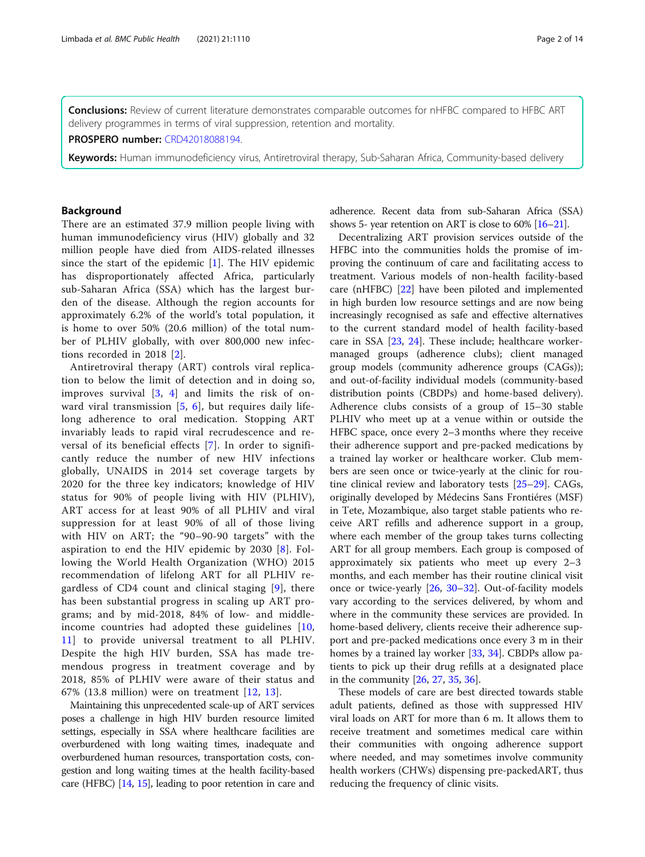Conclusions: Review of current literature demonstrates comparable outcomes for nHFBC compared to HFBC ART delivery programmes in terms of viral suppression, retention and mortality.

PROSPERO number: [CRD42018088194](https://www.crd.york.ac.uk/prospero/display_record.php?RecordID=88194).

Keywords: Human immunodeficiency virus, Antiretroviral therapy, Sub-Saharan Africa, Community-based delivery

## Background

There are an estimated 37.9 million people living with human immunodeficiency virus (HIV) globally and 32 million people have died from AIDS-related illnesses since the start of the epidemic  $[1]$  $[1]$ . The HIV epidemic has disproportionately affected Africa, particularly sub-Saharan Africa (SSA) which has the largest burden of the disease. Although the region accounts for approximately 6.2% of the world's total population, it is home to over 50% (20.6 million) of the total number of PLHIV globally, with over 800,000 new infections recorded in 2018 [[2](#page-12-0)].

Antiretroviral therapy (ART) controls viral replication to below the limit of detection and in doing so, improves survival  $\begin{bmatrix} 3 \\ 4 \end{bmatrix}$  $\begin{bmatrix} 3 \\ 4 \end{bmatrix}$  $\begin{bmatrix} 3 \\ 4 \end{bmatrix}$  and limits the risk of onward viral transmission [[5](#page-12-0), [6\]](#page-12-0), but requires daily lifelong adherence to oral medication. Stopping ART invariably leads to rapid viral recrudescence and reversal of its beneficial effects [\[7](#page-12-0)]. In order to significantly reduce the number of new HIV infections globally, UNAIDS in 2014 set coverage targets by 2020 for the three key indicators; knowledge of HIV status for 90% of people living with HIV (PLHIV), ART access for at least 90% of all PLHIV and viral suppression for at least 90% of all of those living with HIV on ART; the "90–90-90 targets" with the aspiration to end the HIV epidemic by 2030 [[8\]](#page-12-0). Following the World Health Organization (WHO) 2015 recommendation of lifelong ART for all PLHIV regardless of CD4 count and clinical staging [[9\]](#page-12-0), there has been substantial progress in scaling up ART programs; and by mid-2018, 84% of low- and middleincome countries had adopted these guidelines [[10](#page-12-0), [11\]](#page-12-0) to provide universal treatment to all PLHIV. Despite the high HIV burden, SSA has made tremendous progress in treatment coverage and by 2018, 85% of PLHIV were aware of their status and 67% (13.8 million) were on treatment [[12](#page-12-0), [13\]](#page-12-0).

Maintaining this unprecedented scale-up of ART services poses a challenge in high HIV burden resource limited settings, especially in SSA where healthcare facilities are overburdened with long waiting times, inadequate and overburdened human resources, transportation costs, congestion and long waiting times at the health facility-based care (HFBC) [\[14,](#page-12-0) [15](#page-12-0)], leading to poor retention in care and adherence. Recent data from sub-Saharan Africa (SSA) shows 5- year retention on ART is close to  $60\%$  [ $16-21$ ].

Decentralizing ART provision services outside of the HFBC into the communities holds the promise of improving the continuum of care and facilitating access to treatment. Various models of non-health facility-based care (nHFBC) [[22\]](#page-12-0) have been piloted and implemented in high burden low resource settings and are now being increasingly recognised as safe and effective alternatives to the current standard model of health facility-based care in SSA [\[23](#page-12-0), [24](#page-12-0)]. These include; healthcare workermanaged groups (adherence clubs); client managed group models (community adherence groups (CAGs)); and out-of-facility individual models (community-based distribution points (CBDPs) and home-based delivery). Adherence clubs consists of a group of 15–30 stable PLHIV who meet up at a venue within or outside the HFBC space, once every 2–3 months where they receive their adherence support and pre-packed medications by a trained lay worker or healthcare worker. Club members are seen once or twice-yearly at the clinic for routine clinical review and laboratory tests [[25](#page-12-0)–[29\]](#page-12-0). CAGs, originally developed by Médecins Sans Frontiéres (MSF) in Tete, Mozambique, also target stable patients who receive ART refills and adherence support in a group, where each member of the group takes turns collecting ART for all group members. Each group is composed of approximately six patients who meet up every 2–3 months, and each member has their routine clinical visit once or twice-yearly [[26](#page-12-0), [30](#page-12-0)–[32](#page-12-0)]. Out-of-facility models vary according to the services delivered, by whom and where in the community these services are provided. In home-based delivery, clients receive their adherence support and pre-packed medications once every 3 m in their homes by a trained lay worker [[33](#page-12-0), [34\]](#page-12-0). CBDPs allow patients to pick up their drug refills at a designated place in the community [\[26](#page-12-0), [27](#page-12-0), [35,](#page-12-0) [36\]](#page-13-0).

These models of care are best directed towards stable adult patients, defined as those with suppressed HIV viral loads on ART for more than 6 m. It allows them to receive treatment and sometimes medical care within their communities with ongoing adherence support where needed, and may sometimes involve community health workers (CHWs) dispensing pre-packedART, thus reducing the frequency of clinic visits.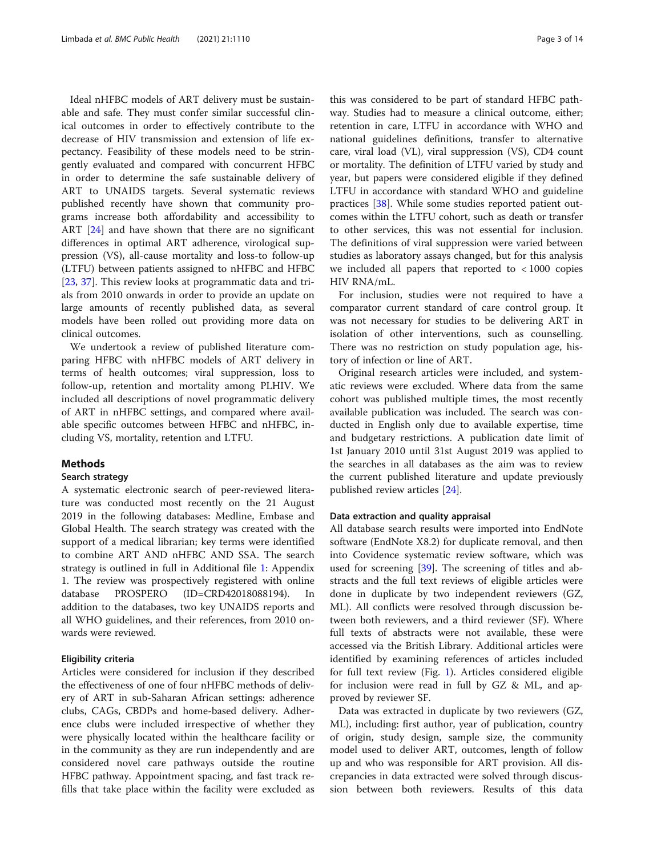Ideal nHFBC models of ART delivery must be sustainable and safe. They must confer similar successful clinical outcomes in order to effectively contribute to the decrease of HIV transmission and extension of life expectancy. Feasibility of these models need to be stringently evaluated and compared with concurrent HFBC in order to determine the safe sustainable delivery of ART to UNAIDS targets. Several systematic reviews published recently have shown that community programs increase both affordability and accessibility to ART [\[24](#page-12-0)] and have shown that there are no significant differences in optimal ART adherence, virological suppression (VS), all-cause mortality and loss-to follow-up (LTFU) between patients assigned to nHFBC and HFBC [[23,](#page-12-0) [37\]](#page-13-0). This review looks at programmatic data and trials from 2010 onwards in order to provide an update on large amounts of recently published data, as several models have been rolled out providing more data on clinical outcomes.

We undertook a review of published literature comparing HFBC with nHFBC models of ART delivery in terms of health outcomes; viral suppression, loss to follow-up, retention and mortality among PLHIV. We included all descriptions of novel programmatic delivery of ART in nHFBC settings, and compared where available specific outcomes between HFBC and nHFBC, including VS, mortality, retention and LTFU.

#### **Methods**

#### Search strategy

A systematic electronic search of peer-reviewed literature was conducted most recently on the 21 August 2019 in the following databases: Medline, Embase and Global Health. The search strategy was created with the support of a medical librarian; key terms were identified to combine ART AND nHFBC AND SSA. The search strategy is outlined in full in Additional file [1](#page-11-0): Appendix 1. The review was prospectively registered with online database PROSPERO (ID=CRD42018088194). In addition to the databases, two key UNAIDS reports and all WHO guidelines, and their references, from 2010 onwards were reviewed.

#### Eligibility criteria

Articles were considered for inclusion if they described the effectiveness of one of four nHFBC methods of delivery of ART in sub-Saharan African settings: adherence clubs, CAGs, CBDPs and home-based delivery. Adherence clubs were included irrespective of whether they were physically located within the healthcare facility or in the community as they are run independently and are considered novel care pathways outside the routine HFBC pathway. Appointment spacing, and fast track refills that take place within the facility were excluded as

this was considered to be part of standard HFBC pathway. Studies had to measure a clinical outcome, either; retention in care, LTFU in accordance with WHO and national guidelines definitions, transfer to alternative care, viral load (VL), viral suppression (VS), CD4 count or mortality. The definition of LTFU varied by study and year, but papers were considered eligible if they defined LTFU in accordance with standard WHO and guideline practices [\[38](#page-13-0)]. While some studies reported patient outcomes within the LTFU cohort, such as death or transfer to other services, this was not essential for inclusion. The definitions of viral suppression were varied between studies as laboratory assays changed, but for this analysis we included all papers that reported to < 1000 copies HIV RNA/mL.

For inclusion, studies were not required to have a comparator current standard of care control group. It was not necessary for studies to be delivering ART in isolation of other interventions, such as counselling. There was no restriction on study population age, history of infection or line of ART.

Original research articles were included, and systematic reviews were excluded. Where data from the same cohort was published multiple times, the most recently available publication was included. The search was conducted in English only due to available expertise, time and budgetary restrictions. A publication date limit of 1st January 2010 until 31st August 2019 was applied to the searches in all databases as the aim was to review the current published literature and update previously published review articles [[24](#page-12-0)].

#### Data extraction and quality appraisal

All database search results were imported into EndNote software (EndNote X8.2) for duplicate removal, and then into Covidence systematic review software, which was used for screening [[39\]](#page-13-0). The screening of titles and abstracts and the full text reviews of eligible articles were done in duplicate by two independent reviewers (GZ, ML). All conflicts were resolved through discussion between both reviewers, and a third reviewer (SF). Where full texts of abstracts were not available, these were accessed via the British Library. Additional articles were identified by examining references of articles included for full text review (Fig. [1\)](#page-3-0). Articles considered eligible for inclusion were read in full by GZ & ML, and approved by reviewer SF.

Data was extracted in duplicate by two reviewers (GZ, ML), including: first author, year of publication, country of origin, study design, sample size, the community model used to deliver ART, outcomes, length of follow up and who was responsible for ART provision. All discrepancies in data extracted were solved through discussion between both reviewers. Results of this data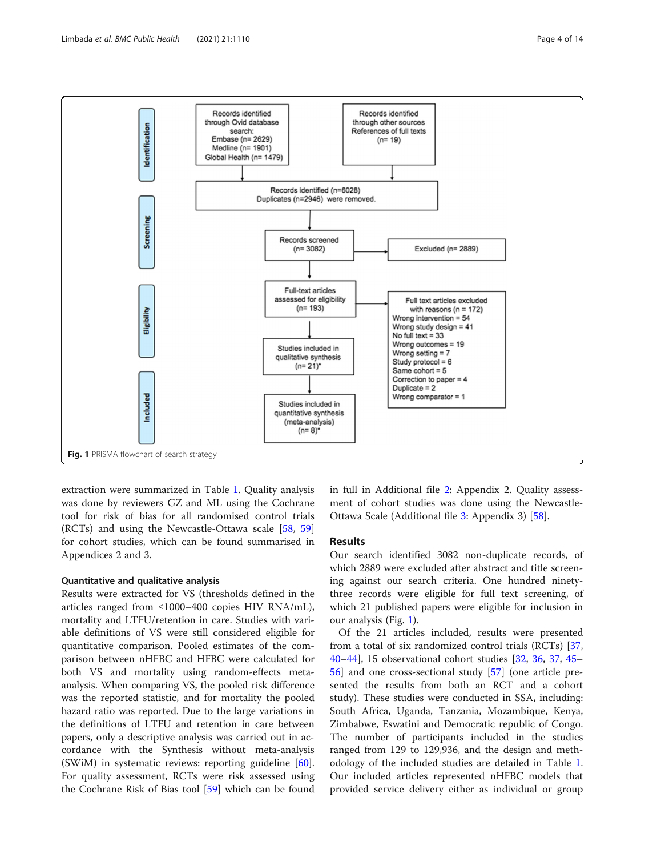<span id="page-3-0"></span>

extraction were summarized in Table [1](#page-4-0). Quality analysis was done by reviewers GZ and ML using the Cochrane tool for risk of bias for all randomised control trials (RCTs) and using the Newcastle-Ottawa scale [[58,](#page-13-0) [59](#page-13-0)] for cohort studies, which can be found summarised in Appendices 2 and 3.

## Quantitative and qualitative analysis

Results were extracted for VS (thresholds defined in the articles ranged from  $\leq 1000-400$  copies HIV RNA/mL), mortality and LTFU/retention in care. Studies with variable definitions of VS were still considered eligible for quantitative comparison. Pooled estimates of the comparison between nHFBC and HFBC were calculated for both VS and mortality using random-effects metaanalysis. When comparing VS, the pooled risk difference was the reported statistic, and for mortality the pooled hazard ratio was reported. Due to the large variations in the definitions of LTFU and retention in care between papers, only a descriptive analysis was carried out in accordance with the Synthesis without meta-analysis (SWiM) in systematic reviews: reporting guideline [\[60](#page-13-0)]. For quality assessment, RCTs were risk assessed using the Cochrane Risk of Bias tool [\[59](#page-13-0)] which can be found in full in Additional file [2](#page-11-0): Appendix 2. Quality assessment of cohort studies was done using the Newcastle-Ottawa Scale (Additional file [3:](#page-11-0) Appendix 3) [\[58](#page-13-0)].

#### Results

Our search identified 3082 non-duplicate records, of which 2889 were excluded after abstract and title screening against our search criteria. One hundred ninetythree records were eligible for full text screening, of which 21 published papers were eligible for inclusion in our analysis (Fig. 1).

Of the 21 articles included, results were presented from a total of six randomized control trials (RCTs) [[37](#page-13-0), [40](#page-13-0)–[44](#page-13-0)], 15 observational cohort studies [[32,](#page-12-0) [36](#page-13-0), [37](#page-13-0), [45](#page-13-0)– [56\]](#page-13-0) and one cross-sectional study [\[57](#page-13-0)] (one article presented the results from both an RCT and a cohort study). These studies were conducted in SSA, including: South Africa, Uganda, Tanzania, Mozambique, Kenya, Zimbabwe, Eswatini and Democratic republic of Congo. The number of participants included in the studies ranged from 129 to 129,936, and the design and methodology of the included studies are detailed in Table [1](#page-4-0). Our included articles represented nHFBC models that provided service delivery either as individual or group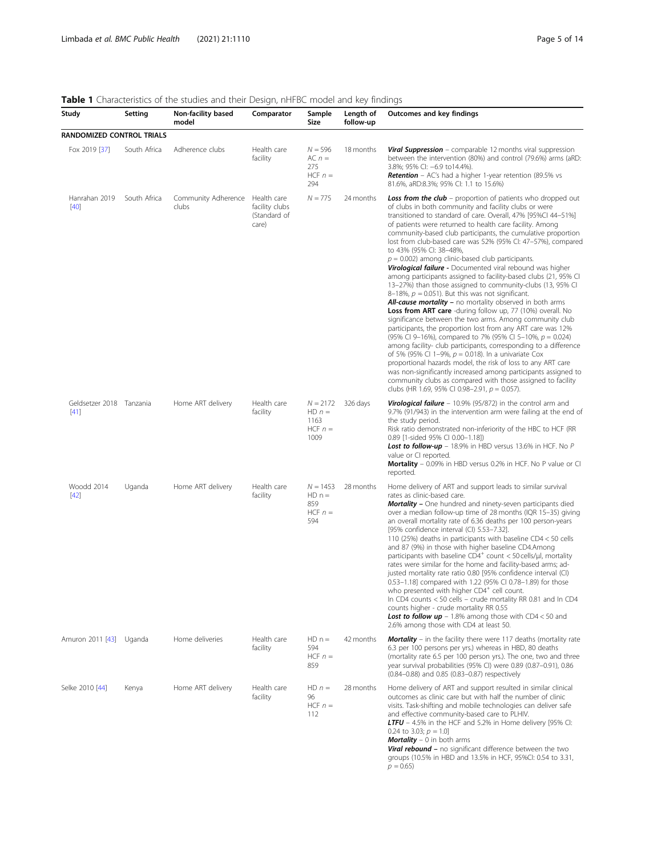## <span id="page-4-0"></span>Table 1 Characteristics of the studies and their Design, nHFBC model and key findings

| Study                              | Setting      | Non-facility based<br>model              | Comparator                              | Sample<br>Size                                      | Length of<br>follow-up | Outcomes and key findings                                                                                                                                                                                                                                                                                                                                                                                                                                                                                                                                                                                                                                                                                                                                                                                                                                                                                                                                                                                                                                                                                                                                                                                                                                                                                                                                                                                                                     |
|------------------------------------|--------------|------------------------------------------|-----------------------------------------|-----------------------------------------------------|------------------------|-----------------------------------------------------------------------------------------------------------------------------------------------------------------------------------------------------------------------------------------------------------------------------------------------------------------------------------------------------------------------------------------------------------------------------------------------------------------------------------------------------------------------------------------------------------------------------------------------------------------------------------------------------------------------------------------------------------------------------------------------------------------------------------------------------------------------------------------------------------------------------------------------------------------------------------------------------------------------------------------------------------------------------------------------------------------------------------------------------------------------------------------------------------------------------------------------------------------------------------------------------------------------------------------------------------------------------------------------------------------------------------------------------------------------------------------------|
| RANDOMIZED CONTROL TRIALS          |              |                                          |                                         |                                                     |                        |                                                                                                                                                                                                                                                                                                                                                                                                                                                                                                                                                                                                                                                                                                                                                                                                                                                                                                                                                                                                                                                                                                                                                                                                                                                                                                                                                                                                                                               |
| Fox 2019 [37]                      | South Africa | Adherence clubs                          | Health care<br>facility                 | $N = 596$<br>$AC n =$<br>275<br>HCF $n =$<br>294    | 18 months              | <b>Viral Suppression</b> – comparable 12 months viral suppression<br>between the intervention (80%) and control (79.6%) arms (aRD:<br>3.8%; 95% CI: -6.9 to14.4%).<br><b>Retention</b> - AC's had a higher 1-year retention (89.5% vs<br>81.6%, aRD:8.3%; 95% Cl: 1.1 to 15.6%)                                                                                                                                                                                                                                                                                                                                                                                                                                                                                                                                                                                                                                                                                                                                                                                                                                                                                                                                                                                                                                                                                                                                                               |
| Hanrahan 2019<br>$[40]$            | South Africa | Community Adherence Health care<br>clubs | facility clubs<br>(Standard of<br>care) | $N = 775$                                           | 24 months              | <b>Loss from the club</b> – proportion of patients who dropped out<br>of clubs in both community and facility clubs or were<br>transitioned to standard of care. Overall, 47% [95%Cl 44-51%]<br>of patients were returned to health care facility. Among<br>community-based club participants, the cumulative proportion<br>lost from club-based care was 52% (95% CI: 47-57%), compared<br>to 43% (95% Cl: 38-48%,<br>$p = 0.002$ ) among clinic-based club participants.<br>Virological failure - Documented viral rebound was higher<br>among participants assigned to facility-based clubs (21, 95% CI<br>13-27%) than those assigned to community-clubs (13, 95% CI<br>8-18%, $p = 0.051$ ). But this was not significant.<br><b>All-cause mortality -</b> no mortality observed in both arms<br><b>Loss from ART care</b> -during follow up, 77 (10%) overall. No<br>significance between the two arms. Among community club<br>participants, the proportion lost from any ART care was 12%<br>(95% CI 9-16%), compared to 7% (95% CI 5-10%, p = 0.024)<br>among facility- club participants, corresponding to a difference<br>of 5% (95% Cl 1-9%, $p = 0.018$ ). In a univariate Cox<br>proportional hazards model, the risk of loss to any ART care<br>was non-significantly increased among participants assigned to<br>community clubs as compared with those assigned to facility<br>clubs (HR 1.69, 95% CI 0.98-2.91, p = 0.057). |
| Geldsetzer 2018 Tanzania<br>$[41]$ |              | Home ART delivery                        | Health care<br>facility                 | $N = 2172$<br>$HD n =$<br>1163<br>$HCF n =$<br>1009 | 326 days               | <b>Virological failure</b> $-10.9\%$ (95/872) in the control arm and<br>9.7% (91/943) in the intervention arm were failing at the end of<br>the study period.<br>Risk ratio demonstrated non-inferiority of the HBC to HCF (RR<br>0.89 [1-sided 95% CI 0.00-1.18])<br><b>Lost to follow-up</b> – 18.9% in HBD versus 13.6% in HCF. No P<br>value or CI reported.<br><b>Mortality</b> – 0.09% in HBD versus 0.2% in HCF. No P value or CI<br>reported.                                                                                                                                                                                                                                                                                                                                                                                                                                                                                                                                                                                                                                                                                                                                                                                                                                                                                                                                                                                         |
| Woodd 2014<br>$[42]$               | Uganda       | Home ART delivery                        | Health care<br>facility                 | $N = 1453$<br>$HD n =$<br>859<br>$HCF n =$<br>594   | 28 months              | Home delivery of ART and support leads to similar survival<br>rates as clinic-based care.<br><b>Mortality</b> - One hundred and ninety-seven participants died<br>over a median follow-up time of 28 months (IQR 15-35) giving<br>an overall mortality rate of 6.36 deaths per 100 person-years<br>[95% confidence interval (CI) 5.53-7.32].<br>110 (25%) deaths in participants with baseline CD4 < 50 cells<br>and 87 (9%) in those with higher baseline CD4.Among<br>participants with baseline CD4 <sup>+</sup> count < 50 cells/µl, mortality<br>rates were similar for the home and facility-based arms; ad-<br>justed mortality rate ratio 0.80 [95% confidence interval (CI)<br>0.53-1.18] compared with 1.22 (95% CI 0.78-1.89) for those<br>who presented with higher CD4 <sup>+</sup> cell count.<br>In CD4 counts < 50 cells - crude mortality RR 0.81 and In CD4<br>counts higher - crude mortality RR 0.55<br><b>Lost to follow up</b> $-1.8\%$ among those with CD4 < 50 and<br>2.6% among those with CD4 at least 50.                                                                                                                                                                                                                                                                                                                                                                                                         |
| Amuron 2011 [43] Uganda            |              | Home deliveries                          | Health care<br>facility                 | $HD n =$<br>594<br>$HCF n =$<br>859                 | 42 months              | <b>Mortality</b> – in the facility there were 117 deaths (mortality rate<br>6.3 per 100 persons per yrs.) whereas in HBD, 80 deaths<br>(mortality rate 6.5 per 100 person yrs.). The one, two and three<br>year survival probabilities (95% CI) were 0.89 (0.87-0.91), 0.86<br>(0.84-0.88) and 0.85 (0.83-0.87) respectively                                                                                                                                                                                                                                                                                                                                                                                                                                                                                                                                                                                                                                                                                                                                                                                                                                                                                                                                                                                                                                                                                                                  |
| Selke 2010 [44]                    | Kenya        | Home ART delivery                        | Health care<br>facility                 | $HD n =$<br>96<br>$HCF n =$<br>112                  | 28 months              | Home delivery of ART and support resulted in similar clinical<br>outcomes as clinic care but with half the number of clinic<br>visits. Task-shifting and mobile technologies can deliver safe<br>and effective community-based care to PLHIV.<br>LTFU - 4.5% in the HCF and 5.2% in Home delivery [95% CI:<br>0.24 to 3.03; $p = 1.0$ ]<br>Mortality - 0 in both arms<br><b>Viral rebound</b> – no significant difference between the two<br>groups (10.5% in HBD and 13.5% in HCF, 95%CI: 0.54 to 3.31,<br>$p = 0.65$                                                                                                                                                                                                                                                                                                                                                                                                                                                                                                                                                                                                                                                                                                                                                                                                                                                                                                                        |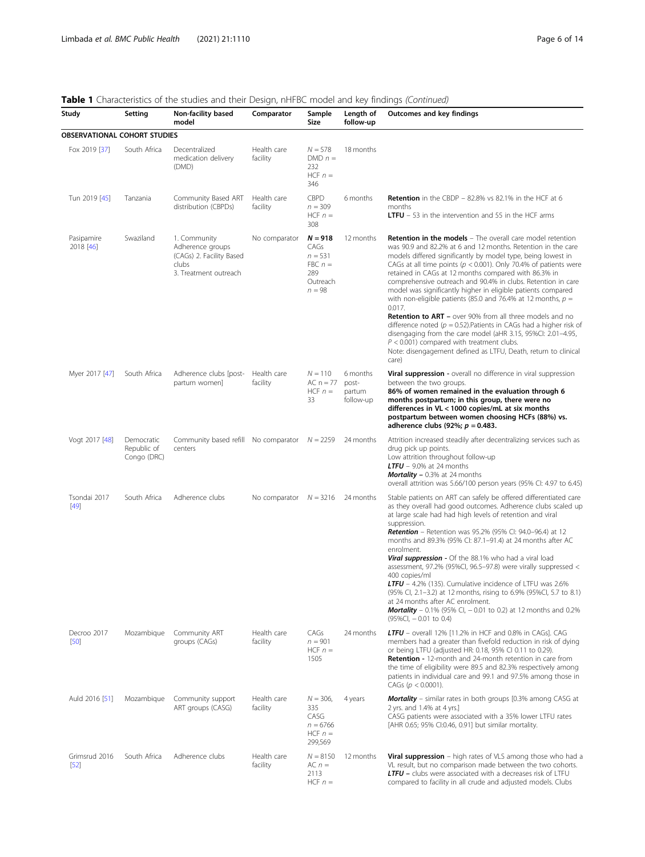## Table 1 Characteristics of the studies and their Design, nHFBC model and key findings (Continued)

| Study                               | Setting                                  | Non-facility based<br>model                                                                    | Comparator               | Sample<br>Size                                                             | Length of<br>follow-up                   | Outcomes and key findings                                                                                                                                                                                                                                                                                                                                                                                                                                                                                                                                                                                                                                                                                                                                                                                                                                                      |
|-------------------------------------|------------------------------------------|------------------------------------------------------------------------------------------------|--------------------------|----------------------------------------------------------------------------|------------------------------------------|--------------------------------------------------------------------------------------------------------------------------------------------------------------------------------------------------------------------------------------------------------------------------------------------------------------------------------------------------------------------------------------------------------------------------------------------------------------------------------------------------------------------------------------------------------------------------------------------------------------------------------------------------------------------------------------------------------------------------------------------------------------------------------------------------------------------------------------------------------------------------------|
| <b>OBSERVATIONAL COHORT STUDIES</b> |                                          |                                                                                                |                          |                                                                            |                                          |                                                                                                                                                                                                                                                                                                                                                                                                                                                                                                                                                                                                                                                                                                                                                                                                                                                                                |
| Fox 2019 [37]                       | South Africa                             | Decentralized<br>medication delivery<br>(DMD)                                                  | Health care<br>facility  | $N = 578$<br>$DMD n =$<br>232<br>HCF $n =$<br>346                          | 18 months                                |                                                                                                                                                                                                                                                                                                                                                                                                                                                                                                                                                                                                                                                                                                                                                                                                                                                                                |
| Tun 2019 [45]                       | Tanzania                                 | Community Based ART<br>distribution (CBPDs)                                                    | Health care<br>facility  | <b>CBPD</b><br>$n = 309$<br>HCF $n =$<br>308                               | 6 months                                 | <b>Retention</b> in the CBDP $-$ 82.8% vs 82.1% in the HCF at 6<br>months<br><b>LTFU</b> $-53$ in the intervention and 55 in the HCF arms                                                                                                                                                                                                                                                                                                                                                                                                                                                                                                                                                                                                                                                                                                                                      |
| Pasipamire<br>2018 [46]             | Swaziland                                | 1. Community<br>Adherence groups<br>(CAGs) 2. Facility Based<br>clubs<br>3. Treatment outreach | No comparator            | $N = 918$<br>CAGs<br>$n = 531$<br>$FBC n =$<br>289<br>Outreach<br>$n = 98$ | 12 months                                | Retention in the models - The overall care model retention<br>was 90.9 and 82.2% at 6 and 12 months. Retention in the care<br>models differed significantly by model type, being lowest in<br>CAGs at all time points ( $p < 0.001$ ). Only 70.4% of patients were<br>retained in CAGs at 12 months compared with 86.3% in<br>comprehensive outreach and 90.4% in clubs. Retention in care<br>model was significantly higher in eligible patients compared<br>with non-eligible patients (85.0 and 76.4% at 12 months, $p =$<br>0.017.<br><b>Retention to ART</b> – over 90% from all three models and no<br>difference noted ( $p = 0.52$ ). Patients in CAGs had a higher risk of<br>disengaging from the care model (aHR 3.15, 95%Cl: 2.01-4.95,<br>$P < 0.001$ ) compared with treatment clubs.<br>Note: disengagement defined as LTFU, Death, return to clinical<br>care) |
| Myer 2017 [47]                      | South Africa                             | Adherence clubs [post-<br>partum women]                                                        | Health care<br>facility  | $N = 110$<br>AC $n = 77$<br>HCF $n =$<br>33                                | 6 months<br>post-<br>partum<br>follow-up | Viral suppression - overall no difference in viral suppression<br>between the two groups.<br>86% of women remained in the evaluation through 6<br>months postpartum; in this group, there were no<br>differences in VL < 1000 copies/mL at six months<br>postpartum between women choosing HCFs (88%) vs.<br>adherence clubs (92%; $p = 0.483$ .                                                                                                                                                                                                                                                                                                                                                                                                                                                                                                                               |
| Vogt 2017 [48]                      | Democratic<br>Republic of<br>Congo (DRC) | Community based refill No comparator $N = 2259$<br>centers                                     |                          |                                                                            | 24 months                                | Attrition increased steadily after decentralizing services such as<br>drug pick up points.<br>Low attrition throughout follow-up<br>LTFU $-$ 9.0% at 24 months<br><b>Mortality</b> $-0.3\%$ at 24 months<br>overall attrition was 5.66/100 person years (95% CI: 4.97 to 6.45)                                                                                                                                                                                                                                                                                                                                                                                                                                                                                                                                                                                                 |
| Tsondai 2017<br>$[49]$              | South Africa                             | Adherence clubs                                                                                | No comparator $N = 3216$ |                                                                            | 24 months                                | Stable patients on ART can safely be offered differentiated care<br>as they overall had good outcomes. Adherence clubs scaled up<br>at large scale had had high levels of retention and viral<br>suppression.<br><b>Retention</b> – Retention was 95.2% (95% CI: 94.0–96.4) at 12<br>months and 89.3% (95% CI: 87.1–91.4) at 24 months after AC<br>enrolment.<br>Viral suppression - Of the 88.1% who had a viral load<br>assessment, 97.2% (95%Cl, 96.5-97.8) were virally suppressed $\lt$<br>400 copies/ml<br>LTFU - 4.2% (135). Cumulative incidence of LTFU was 2.6%<br>(95% Cl, 2.1-3.2) at 12 months, rising to 6.9% (95%Cl, 5.7 to 8.1)<br>at 24 months after AC enrolment.<br><b>Mortality</b> – 0.1% (95% CI, $-$ 0.01 to 0.2) at 12 months and 0.2%<br>$(95\%CI, -0.01$ to 0.4)                                                                                     |
| Decroo 2017<br>[50]                 | Mozambique                               | Community ART<br>groups (CAGs)                                                                 | Health care<br>facility  | CAGs<br>$n = 901$<br>HCF $n =$<br>1505                                     | 24 months                                | <b>LTFU</b> – overall 12% [11.2% in HCF and 0.8% in CAGs]. CAG<br>members had a greater than fivefold reduction in risk of dying<br>or being LTFU (adjusted HR: 0.18, 95% CI 0.11 to 0.29).<br><b>Retention -</b> 12-month and 24-month retention in care from<br>the time of eligibility were 89.5 and 82.3% respectively among<br>patients in individual care and 99.1 and 97.5% among those in<br>CAGs ( $p < 0.0001$ ).                                                                                                                                                                                                                                                                                                                                                                                                                                                    |
| Auld 2016 [51]                      | Mozambique                               | Community support<br>ART groups (CASG)                                                         | Health care<br>facility  | $N = 306$ ,<br>335<br>CASG<br>$n = 6766$<br>$HCF n =$<br>299,569           | 4 years                                  | <b>Mortality</b> – similar rates in both groups [0.3% among CASG at<br>2 yrs. and 1.4% at 4 yrs.]<br>CASG patients were associated with a 35% lower LTFU rates<br>[AHR 0.65; 95% CI:0.46, 0.91] but similar mortality.                                                                                                                                                                                                                                                                                                                                                                                                                                                                                                                                                                                                                                                         |
| Grimsrud 2016<br>[52]               | South Africa                             | Adherence clubs                                                                                | Health care<br>facility  | $N = 8150$<br>$AC n =$<br>2113<br>$HCF n =$                                | 12 months                                | <b>Viral suppression</b> – high rates of VLS among those who had a<br>VL result, but no comparison made between the two cohorts.<br><b>LTFU</b> - clubs were associated with a decreases risk of LTFU<br>compared to facility in all crude and adjusted models. Clubs                                                                                                                                                                                                                                                                                                                                                                                                                                                                                                                                                                                                          |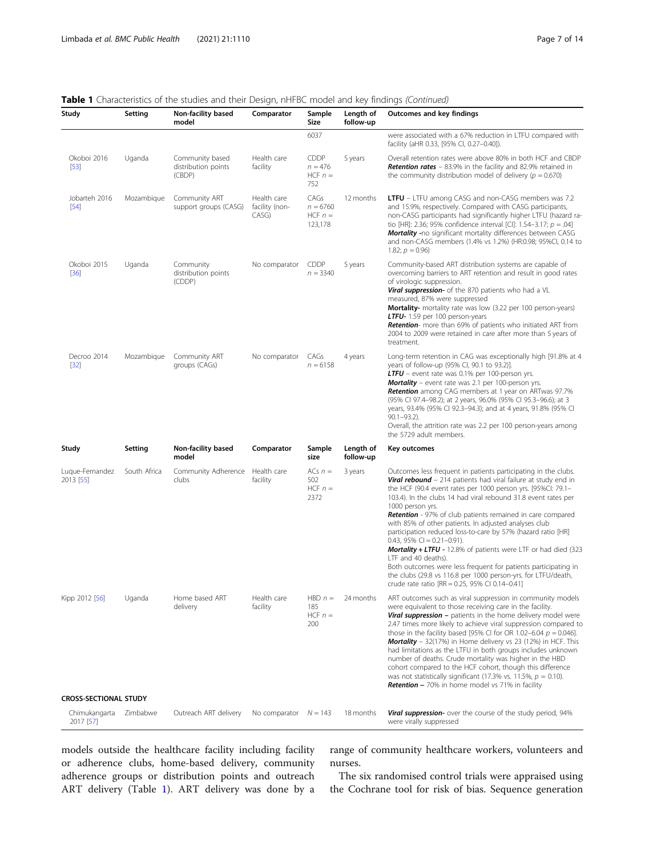## Table 1 Characteristics of the studies and their Design, nHFBC model and key findings (Continued)

| Study                        | Setting      | Non-facility based<br>model                      | Comparator                             | Sample<br>Size                               | Length of<br>follow-up | Outcomes and key findings                                                                                                                                                                                                                                                                                                                                                                                                                                                                                                                                                                                                                                                                                                                                                                                            |
|------------------------------|--------------|--------------------------------------------------|----------------------------------------|----------------------------------------------|------------------------|----------------------------------------------------------------------------------------------------------------------------------------------------------------------------------------------------------------------------------------------------------------------------------------------------------------------------------------------------------------------------------------------------------------------------------------------------------------------------------------------------------------------------------------------------------------------------------------------------------------------------------------------------------------------------------------------------------------------------------------------------------------------------------------------------------------------|
|                              |              |                                                  |                                        | 6037                                         |                        | were associated with a 67% reduction in LTFU compared with<br>facility (aHR 0.33, [95% CI, 0.27-0.40]).                                                                                                                                                                                                                                                                                                                                                                                                                                                                                                                                                                                                                                                                                                              |
| Okoboi 2016<br>$[53]$        | Uganda       | Community based<br>distribution points<br>(CBDP) | Health care<br>facility                | <b>CDDP</b><br>$n = 476$<br>HCF $n =$<br>752 | 5 years                | Overall retention rates were above 80% in both HCF and CBDP<br><b>Retention rates</b> - 83.9% in the facility and 82.9% retained in<br>the community distribution model of delivery ( $p = 0.670$ )                                                                                                                                                                                                                                                                                                                                                                                                                                                                                                                                                                                                                  |
| Jobarteh 2016<br>$[54]$      | Mozambique   | Community ART<br>support groups (CASG)           | Health care<br>facility (non-<br>CASG) | CAGs<br>$n = 6760$<br>HCF $n =$<br>123,178   | 12 months              | <b>LTFU</b> – LTFU among CASG and non-CASG members was 7.2<br>and 15.9%, respectively. Compared with CASG participants,<br>non-CASG participants had significantly higher LTFU (hazard ra-<br>tio [HR]: 2.36; 95% confidence interval [CI]: 1.54-3.17; $p = .04$ ]<br><b>Mortality</b> -no significant mortality differences between CASG<br>and non-CASG members (1.4% vs 1.2%) (HR:0.98; 95%CI, 0.14 to<br>1.82; $p = 0.96$ )                                                                                                                                                                                                                                                                                                                                                                                      |
| Okoboi 2015<br>$[36]$        | Uganda       | Community<br>distribution points<br>(CDDP)       | No comparator                          | CDDP<br>$n = 3340$                           | 5 years                | Community-based ART distribution systems are capable of<br>overcoming barriers to ART retention and result in good rates<br>of virologic suppression.<br><b>Viral suppression-</b> of the 870 patients who had a VL<br>measured, 87% were suppressed<br><b>Mortality-</b> mortality rate was low (3.22 per 100 person-years)<br>LTFU- 1.59 per 100 person-years<br><b>Retention-</b> more than 69% of patients who initiated ART from<br>2004 to 2009 were retained in care after more than 5 years of<br>treatment.                                                                                                                                                                                                                                                                                                 |
| Decroo 2014<br>$[32]$        | Mozambique   | Community ART<br>groups (CAGs)                   | No comparator                          | CAGs<br>$n = 6158$                           | 4 years                | Long-term retention in CAG was exceptionally high [91.8% at 4<br>years of follow-up (95% CI, 90.1 to 93.2)].<br>LTFU - event rate was 0.1% per 100-person yrs.<br><b>Mortality</b> - event rate was 2.1 per 100-person yrs.<br><b>Retention</b> among CAG members at 1 year on ARTwas 97.7%<br>(95% Cl 97.4-98.2); at 2 years, 96.0% (95% Cl 95.3-96.6); at 3<br>years, 93.4% (95% CI 92.3-94.3); and at 4 years, 91.8% (95% CI<br>$90.1 - 93.2$ ).<br>Overall, the attrition rate was 2.2 per 100 person-years among<br>the 5729 adult members.                                                                                                                                                                                                                                                                     |
| Study                        | Setting      | Non-facility based<br>model                      | Comparator                             | Sample<br>size                               | Length of<br>follow-up | Key outcomes                                                                                                                                                                                                                                                                                                                                                                                                                                                                                                                                                                                                                                                                                                                                                                                                         |
| Luque-Fernandez<br>2013 [55] | South Africa | Community Adherence<br>clubs                     | Health care<br>facility                | ACs $n =$<br>502<br>HCF $n =$<br>2372        | 3 years                | Outcomes less frequent in patients participating in the clubs.<br><b>Viral rebound</b> - 214 patients had viral failure at study end in<br>the HCF (90.4 event rates per 1000 person yrs. [95%CI: 79.1-<br>103.4). In the clubs 14 had viral rebound 31.8 event rates per<br>1000 person yrs.<br><b>Retention</b> - 97% of club patients remained in care compared<br>with 85% of other patients. In adjusted analyses club<br>participation reduced loss-to-care by 57% (hazard ratio [HR]<br>$0.43, 95\%$ Cl = $0.21-0.91$ ).<br><b>Mortality + LTFU</b> - 12.8% of patients were LTF or had died (323<br>LTF and 40 deaths).<br>Both outcomes were less frequent for patients participating in<br>the clubs (29.8 vs 116.8 per 1000 person-yrs. for LTFU/death,<br>crude rate ratio [RR = 0.25, 95% CI 0.14-0.41] |
| Kipp 2012 [56]               | Uganda       | Home based ART<br>delivery                       | Health care<br>facility                | $HBD n =$<br>185<br>HCF $n =$<br>200         | 24 months              | ART outcomes such as viral suppression in community models<br>were equivalent to those receiving care in the facility.<br>Viral suppression - patients in the home delivery model were<br>2.47 times more likely to achieve viral suppression compared to<br>those in the facility based [95% CI for OR 1.02-6.04 $p = 0.046$ ].<br>Mortality - 32(17%) in Home delivery vs 23 (12%) in HCF. This<br>had limitations as the LTFU in both groups includes unknown<br>number of deaths. Crude mortality was higher in the HBD<br>cohort compared to the HCF cohort, though this difference<br>was not statistically significant (17.3% vs. 11.5%, $p = 0.10$ ).<br><b>Retention -</b> 70% in home model vs 71% in facility                                                                                             |
| <b>CROSS-SECTIONAL STUDY</b> |              |                                                  |                                        |                                              |                        |                                                                                                                                                                                                                                                                                                                                                                                                                                                                                                                                                                                                                                                                                                                                                                                                                      |
| Chimukangarta<br>2017 [57]   | Zimbabwe     | Outreach ART delivery                            | No comparator $N = 143$                |                                              | 18 months              | <b>Viral suppression-</b> over the course of the study period, 94%<br>were virally suppressed                                                                                                                                                                                                                                                                                                                                                                                                                                                                                                                                                                                                                                                                                                                        |

models outside the healthcare facility including facility or adherence clubs, home-based delivery, community adherence groups or distribution points and outreach ART delivery (Table [1](#page-4-0)). ART delivery was done by a range of community healthcare workers, volunteers and nurses.

The six randomised control trials were appraised using the Cochrane tool for risk of bias. Sequence generation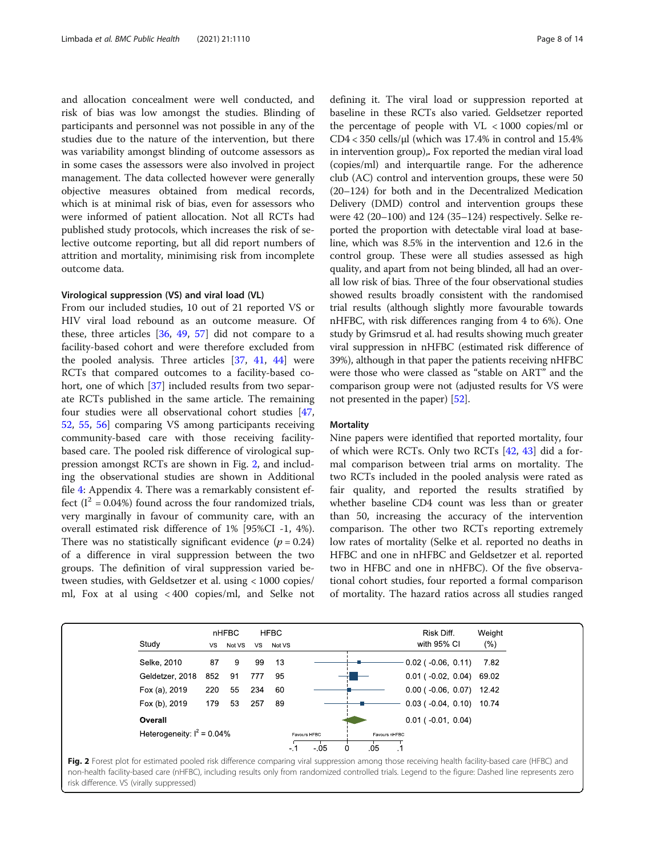and allocation concealment were well conducted, and risk of bias was low amongst the studies. Blinding of participants and personnel was not possible in any of the studies due to the nature of the intervention, but there was variability amongst blinding of outcome assessors as in some cases the assessors were also involved in project management. The data collected however were generally objective measures obtained from medical records, which is at minimal risk of bias, even for assessors who were informed of patient allocation. Not all RCTs had published study protocols, which increases the risk of selective outcome reporting, but all did report numbers of attrition and mortality, minimising risk from incomplete outcome data.

## Virological suppression (VS) and viral load (VL)

From our included studies, 10 out of 21 reported VS or HIV viral load rebound as an outcome measure. Of these, three articles [[36,](#page-13-0) [49](#page-13-0), [57\]](#page-13-0) did not compare to a facility-based cohort and were therefore excluded from the pooled analysis. Three articles [[37](#page-13-0), [41](#page-13-0), [44](#page-13-0)] were RCTs that compared outcomes to a facility-based co-hort, one of which [[37](#page-13-0)] included results from two separate RCTs published in the same article. The remaining four studies were all observational cohort studies [[47](#page-13-0), [52,](#page-13-0) [55,](#page-13-0) [56\]](#page-13-0) comparing VS among participants receiving community-based care with those receiving facilitybased care. The pooled risk difference of virological suppression amongst RCTs are shown in Fig. 2, and including the observational studies are shown in Additional file [4:](#page-11-0) Appendix 4. There was a remarkably consistent effect  $(I^2 = 0.04\%)$  found across the four randomized trials, very marginally in favour of community care, with an overall estimated risk difference of 1% [95%CI -1, 4%). There was no statistically significant evidence  $(p = 0.24)$ of a difference in viral suppression between the two groups. The definition of viral suppression varied between studies, with Geldsetzer et al. using < 1000 copies/ ml, Fox at al using < 400 copies/ml, and Selke not defining it. The viral load or suppression reported at baseline in these RCTs also varied. Geldsetzer reported the percentage of people with  $VL < 1000$  copies/ml or CD4 < 350 cells/μl (which was 17.4% in control and 15.4% in intervention group),. Fox reported the median viral load (copies/ml) and interquartile range. For the adherence club (AC) control and intervention groups, these were 50 (20–124) for both and in the Decentralized Medication Delivery (DMD) control and intervention groups these were 42 (20–100) and 124 (35–124) respectively. Selke reported the proportion with detectable viral load at baseline, which was 8.5% in the intervention and 12.6 in the control group. These were all studies assessed as high quality, and apart from not being blinded, all had an overall low risk of bias. Three of the four observational studies showed results broadly consistent with the randomised trial results (although slightly more favourable towards nHFBC, with risk differences ranging from 4 to 6%). One study by Grimsrud et al. had results showing much greater viral suppression in nHFBC (estimated risk difference of 39%), although in that paper the patients receiving nHFBC were those who were classed as "stable on ART" and the comparison group were not (adjusted results for VS were not presented in the paper) [\[52\]](#page-13-0).

#### **Mortality**

Nine papers were identified that reported mortality, four of which were RCTs. Only two RCTs [\[42](#page-13-0), [43](#page-13-0)] did a formal comparison between trial arms on mortality. The two RCTs included in the pooled analysis were rated as fair quality, and reported the results stratified by whether baseline CD4 count was less than or greater than 50, increasing the accuracy of the intervention comparison. The other two RCTs reporting extremely low rates of mortality (Selke et al. reported no deaths in HFBC and one in nHFBC and Geldsetzer et al. reported two in HFBC and one in nHFBC). Of the five observational cohort studies, four reported a formal comparison of mortality. The hazard ratios across all studies ranged



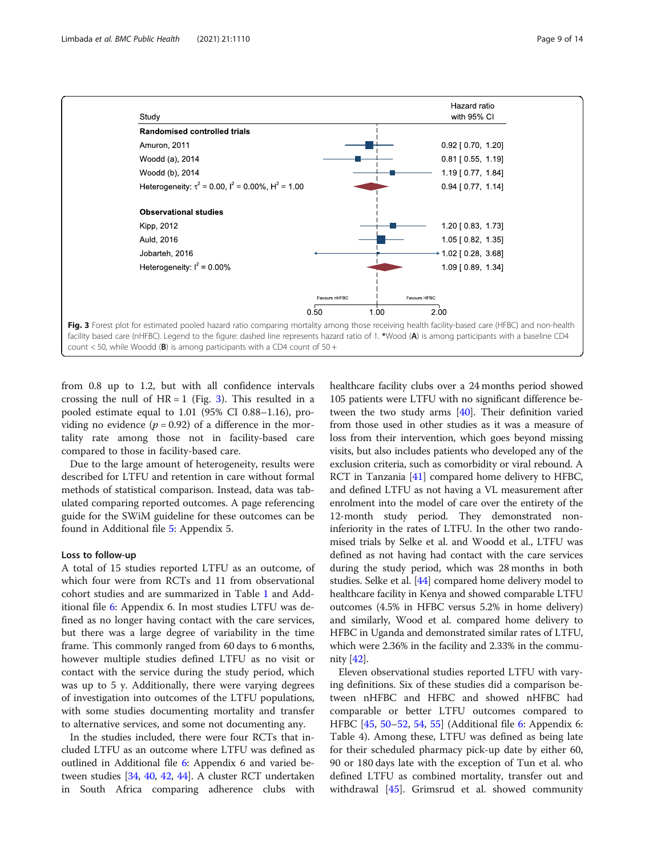

count  $<$  50, while Woodd (B) is among participants with a CD4 count of 50 +

from 0.8 up to 1.2, but with all confidence intervals crossing the null of  $HR = 1$  (Fig. 3). This resulted in a pooled estimate equal to 1.01 (95% CI 0.88–1.16), providing no evidence  $(p = 0.92)$  of a difference in the mortality rate among those not in facility-based care compared to those in facility-based care.

Due to the large amount of heterogeneity, results were described for LTFU and retention in care without formal methods of statistical comparison. Instead, data was tabulated comparing reported outcomes. A page referencing guide for the SWiM guideline for these outcomes can be found in Additional file [5:](#page-11-0) Appendix 5.

## Loss to follow-up

A total of 15 studies reported LTFU as an outcome, of which four were from RCTs and 11 from observational cohort studies and are summarized in Table [1](#page-4-0) and Additional file [6](#page-11-0): Appendix 6. In most studies LTFU was defined as no longer having contact with the care services, but there was a large degree of variability in the time frame. This commonly ranged from 60 days to 6 months, however multiple studies defined LTFU as no visit or contact with the service during the study period, which was up to 5 y. Additionally, there were varying degrees of investigation into outcomes of the LTFU populations, with some studies documenting mortality and transfer to alternative services, and some not documenting any.

In the studies included, there were four RCTs that included LTFU as an outcome where LTFU was defined as outlined in Additional file [6:](#page-11-0) Appendix 6 and varied between studies [\[34,](#page-12-0) [40,](#page-13-0) [42](#page-13-0), [44](#page-13-0)]. A cluster RCT undertaken in South Africa comparing adherence clubs with healthcare facility clubs over a 24 months period showed 105 patients were LTFU with no significant difference between the two study arms [[40](#page-13-0)]. Their definition varied from those used in other studies as it was a measure of loss from their intervention, which goes beyond missing visits, but also includes patients who developed any of the exclusion criteria, such as comorbidity or viral rebound. A RCT in Tanzania [\[41\]](#page-13-0) compared home delivery to HFBC, and defined LTFU as not having a VL measurement after enrolment into the model of care over the entirety of the 12-month study period. They demonstrated noninferiority in the rates of LTFU. In the other two randomised trials by Selke et al. and Woodd et al., LTFU was defined as not having had contact with the care services during the study period, which was 28 months in both studies. Selke et al. [\[44](#page-13-0)] compared home delivery model to healthcare facility in Kenya and showed comparable LTFU outcomes (4.5% in HFBC versus 5.2% in home delivery) and similarly, Wood et al. compared home delivery to HFBC in Uganda and demonstrated similar rates of LTFU, which were 2.36% in the facility and 2.33% in the community [[42](#page-13-0)].

Eleven observational studies reported LTFU with varying definitions. Six of these studies did a comparison between nHFBC and HFBC and showed nHFBC had comparable or better LTFU outcomes compared to HFBC [\[45,](#page-13-0) [50](#page-13-0)–[52,](#page-13-0) [54,](#page-13-0) [55](#page-13-0)] (Additional file [6](#page-11-0): Appendix 6: Table 4). Among these, LTFU was defined as being late for their scheduled pharmacy pick-up date by either 60, 90 or 180 days late with the exception of Tun et al. who defined LTFU as combined mortality, transfer out and withdrawal [\[45\]](#page-13-0). Grimsrud et al. showed community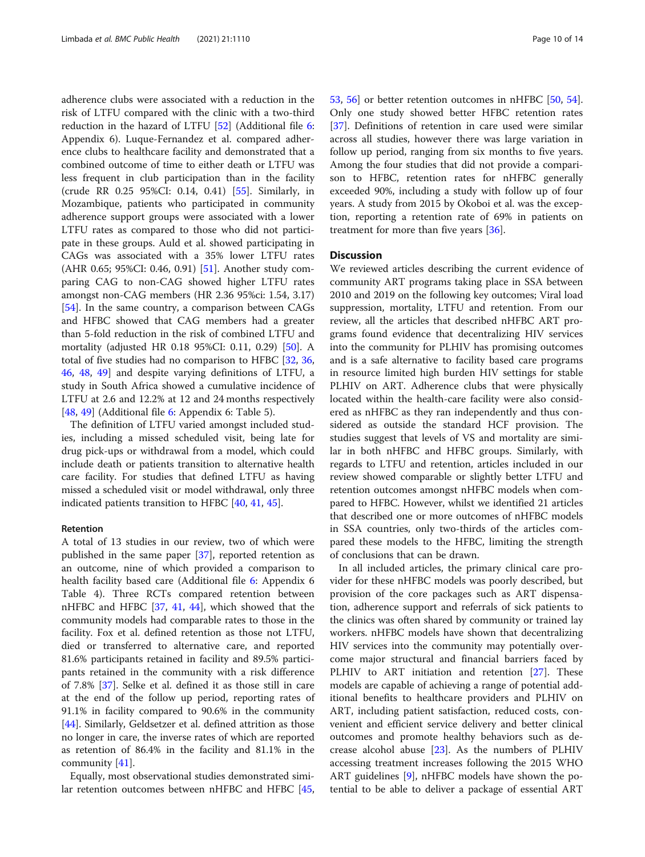adherence clubs were associated with a reduction in the risk of LTFU compared with the clinic with a two-third reduction in the hazard of LTFU [\[52\]](#page-13-0) (Additional file [6](#page-11-0): Appendix 6). Luque-Fernandez et al. compared adherence clubs to healthcare facility and demonstrated that a combined outcome of time to either death or LTFU was less frequent in club participation than in the facility (crude RR 0.25 95%CI: 0.14, 0.41) [[55\]](#page-13-0). Similarly, in Mozambique, patients who participated in community adherence support groups were associated with a lower LTFU rates as compared to those who did not participate in these groups. Auld et al. showed participating in CAGs was associated with a 35% lower LTFU rates (AHR 0.65; 95%CI: 0.46, 0.91) [[51\]](#page-13-0). Another study comparing CAG to non-CAG showed higher LTFU rates amongst non-CAG members (HR 2.36 95%ci: 1.54, 3.17) [[54\]](#page-13-0). In the same country, a comparison between CAGs and HFBC showed that CAG members had a greater than 5-fold reduction in the risk of combined LTFU and mortality (adjusted HR 0.18 95%CI: 0.11, 0.29) [[50\]](#page-13-0). A total of five studies had no comparison to HFBC [[32](#page-12-0), [36](#page-13-0), [46,](#page-13-0) [48](#page-13-0), [49\]](#page-13-0) and despite varying definitions of LTFU, a study in South Africa showed a cumulative incidence of LTFU at 2.6 and 12.2% at 12 and 24 months respectively [[48,](#page-13-0) [49\]](#page-13-0) (Additional file [6](#page-11-0): Appendix 6: Table 5).

The definition of LTFU varied amongst included studies, including a missed scheduled visit, being late for drug pick-ups or withdrawal from a model, which could include death or patients transition to alternative health care facility. For studies that defined LTFU as having missed a scheduled visit or model withdrawal, only three indicated patients transition to HFBC [[40,](#page-13-0) [41](#page-13-0), [45](#page-13-0)].

## Retention

A total of 13 studies in our review, two of which were published in the same paper [\[37](#page-13-0)], reported retention as an outcome, nine of which provided a comparison to health facility based care (Additional file [6:](#page-11-0) Appendix 6 Table 4). Three RCTs compared retention between nHFBC and HFBC [[37,](#page-13-0) [41,](#page-13-0) [44\]](#page-13-0), which showed that the community models had comparable rates to those in the facility. Fox et al. defined retention as those not LTFU, died or transferred to alternative care, and reported 81.6% participants retained in facility and 89.5% participants retained in the community with a risk difference of 7.8% [\[37](#page-13-0)]. Selke et al. defined it as those still in care at the end of the follow up period, reporting rates of 91.1% in facility compared to 90.6% in the community [[44\]](#page-13-0). Similarly, Geldsetzer et al. defined attrition as those no longer in care, the inverse rates of which are reported as retention of 86.4% in the facility and 81.1% in the community [[41](#page-13-0)].

Equally, most observational studies demonstrated similar retention outcomes between nHFBC and HFBC [[45](#page-13-0), [53,](#page-13-0) [56\]](#page-13-0) or better retention outcomes in nHFBC [\[50,](#page-13-0) [54](#page-13-0)]. Only one study showed better HFBC retention rates [[37\]](#page-13-0). Definitions of retention in care used were similar across all studies, however there was large variation in follow up period, ranging from six months to five years. Among the four studies that did not provide a comparison to HFBC, retention rates for nHFBC generally exceeded 90%, including a study with follow up of four years. A study from 2015 by Okoboi et al. was the exception, reporting a retention rate of 69% in patients on treatment for more than five years [[36\]](#page-13-0).

#### **Discussion**

We reviewed articles describing the current evidence of community ART programs taking place in SSA between 2010 and 2019 on the following key outcomes; Viral load suppression, mortality, LTFU and retention. From our review, all the articles that described nHFBC ART programs found evidence that decentralizing HIV services into the community for PLHIV has promising outcomes and is a safe alternative to facility based care programs in resource limited high burden HIV settings for stable PLHIV on ART. Adherence clubs that were physically located within the health-care facility were also considered as nHFBC as they ran independently and thus considered as outside the standard HCF provision. The studies suggest that levels of VS and mortality are similar in both nHFBC and HFBC groups. Similarly, with regards to LTFU and retention, articles included in our review showed comparable or slightly better LTFU and retention outcomes amongst nHFBC models when compared to HFBC. However, whilst we identified 21 articles that described one or more outcomes of nHFBC models in SSA countries, only two-thirds of the articles compared these models to the HFBC, limiting the strength of conclusions that can be drawn.

In all included articles, the primary clinical care provider for these nHFBC models was poorly described, but provision of the core packages such as ART dispensation, adherence support and referrals of sick patients to the clinics was often shared by community or trained lay workers. nHFBC models have shown that decentralizing HIV services into the community may potentially overcome major structural and financial barriers faced by PLHIV to ART initiation and retention [\[27](#page-12-0)]. These models are capable of achieving a range of potential additional benefits to healthcare providers and PLHIV on ART, including patient satisfaction, reduced costs, convenient and efficient service delivery and better clinical outcomes and promote healthy behaviors such as decrease alcohol abuse  $[23]$ . As the numbers of PLHIV accessing treatment increases following the 2015 WHO ART guidelines [\[9](#page-12-0)], nHFBC models have shown the potential to be able to deliver a package of essential ART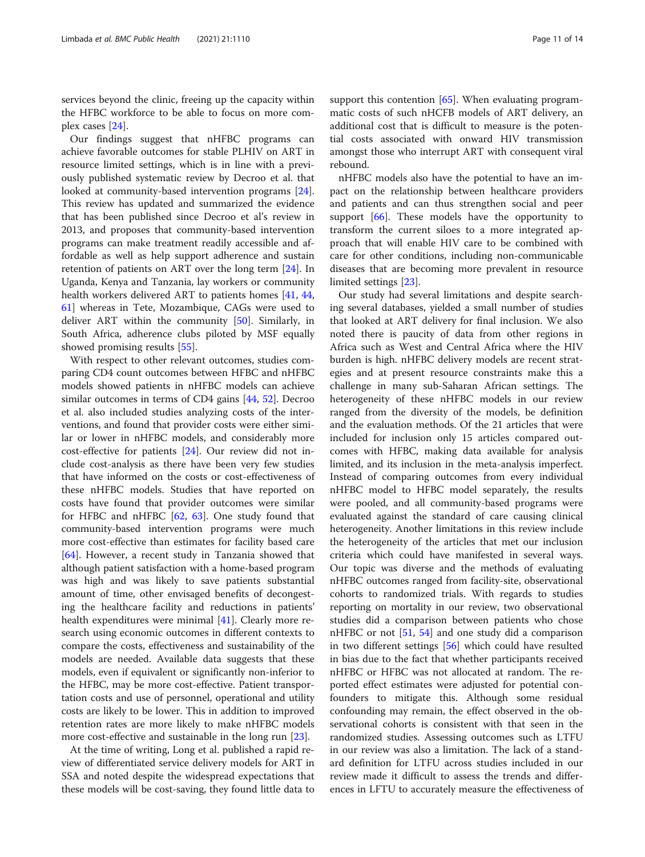services beyond the clinic, freeing up the capacity within the HFBC workforce to be able to focus on more complex cases [\[24](#page-12-0)].

Our findings suggest that nHFBC programs can achieve favorable outcomes for stable PLHIV on ART in resource limited settings, which is in line with a previously published systematic review by Decroo et al. that looked at community-based intervention programs [\[24](#page-12-0)]. This review has updated and summarized the evidence that has been published since Decroo et al's review in 2013, and proposes that community-based intervention programs can make treatment readily accessible and affordable as well as help support adherence and sustain retention of patients on ART over the long term [[24](#page-12-0)]. In Uganda, Kenya and Tanzania, lay workers or community health workers delivered ART to patients homes [\[41](#page-13-0), [44](#page-13-0), [61\]](#page-13-0) whereas in Tete, Mozambique, CAGs were used to deliver ART within the community [[50\]](#page-13-0). Similarly, in South Africa, adherence clubs piloted by MSF equally showed promising results [\[55](#page-13-0)].

With respect to other relevant outcomes, studies comparing CD4 count outcomes between HFBC and nHFBC models showed patients in nHFBC models can achieve similar outcomes in terms of CD4 gains [\[44](#page-13-0), [52](#page-13-0)]. Decroo et al. also included studies analyzing costs of the interventions, and found that provider costs were either similar or lower in nHFBC models, and considerably more cost-effective for patients [\[24\]](#page-12-0). Our review did not include cost-analysis as there have been very few studies that have informed on the costs or cost-effectiveness of these nHFBC models. Studies that have reported on costs have found that provider outcomes were similar for HFBC and nHFBC [[62,](#page-13-0) [63](#page-13-0)]. One study found that community-based intervention programs were much more cost-effective than estimates for facility based care [[64\]](#page-13-0). However, a recent study in Tanzania showed that although patient satisfaction with a home-based program was high and was likely to save patients substantial amount of time, other envisaged benefits of decongesting the healthcare facility and reductions in patients' health expenditures were minimal [[41\]](#page-13-0). Clearly more research using economic outcomes in different contexts to compare the costs, effectiveness and sustainability of the models are needed. Available data suggests that these models, even if equivalent or significantly non-inferior to the HFBC, may be more cost-effective. Patient transportation costs and use of personnel, operational and utility costs are likely to be lower. This in addition to improved retention rates are more likely to make nHFBC models more cost-effective and sustainable in the long run [\[23](#page-12-0)].

At the time of writing, Long et al. published a rapid review of differentiated service delivery models for ART in SSA and noted despite the widespread expectations that these models will be cost-saving, they found little data to support this contention [\[65](#page-13-0)]. When evaluating programmatic costs of such nHCFB models of ART delivery, an additional cost that is difficult to measure is the potential costs associated with onward HIV transmission amongst those who interrupt ART with consequent viral rebound.

nHFBC models also have the potential to have an impact on the relationship between healthcare providers and patients and can thus strengthen social and peer support [\[66](#page-13-0)]. These models have the opportunity to transform the current siloes to a more integrated approach that will enable HIV care to be combined with care for other conditions, including non-communicable diseases that are becoming more prevalent in resource limited settings [\[23](#page-12-0)].

Our study had several limitations and despite searching several databases, yielded a small number of studies that looked at ART delivery for final inclusion. We also noted there is paucity of data from other regions in Africa such as West and Central Africa where the HIV burden is high. nHFBC delivery models are recent strategies and at present resource constraints make this a challenge in many sub-Saharan African settings. The heterogeneity of these nHFBC models in our review ranged from the diversity of the models, be definition and the evaluation methods. Of the 21 articles that were included for inclusion only 15 articles compared outcomes with HFBC, making data available for analysis limited, and its inclusion in the meta-analysis imperfect. Instead of comparing outcomes from every individual nHFBC model to HFBC model separately, the results were pooled, and all community-based programs were evaluated against the standard of care causing clinical heterogeneity. Another limitations in this review include the heterogeneity of the articles that met our inclusion criteria which could have manifested in several ways. Our topic was diverse and the methods of evaluating nHFBC outcomes ranged from facility-site, observational cohorts to randomized trials. With regards to studies reporting on mortality in our review, two observational studies did a comparison between patients who chose nHFBC or not [[51](#page-13-0), [54\]](#page-13-0) and one study did a comparison in two different settings [[56\]](#page-13-0) which could have resulted in bias due to the fact that whether participants received nHFBC or HFBC was not allocated at random. The reported effect estimates were adjusted for potential confounders to mitigate this. Although some residual confounding may remain, the effect observed in the observational cohorts is consistent with that seen in the randomized studies. Assessing outcomes such as LTFU in our review was also a limitation. The lack of a standard definition for LTFU across studies included in our review made it difficult to assess the trends and differences in LFTU to accurately measure the effectiveness of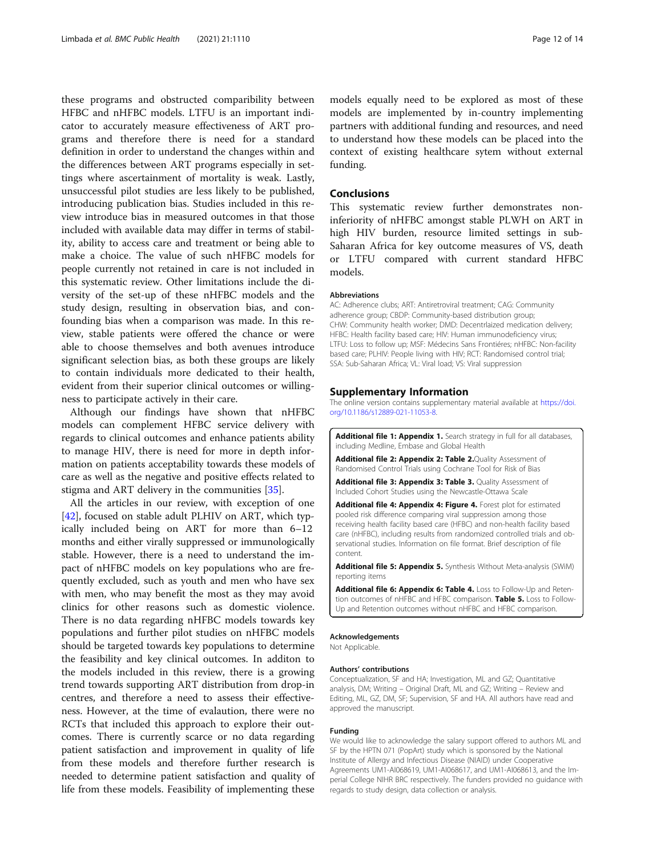<span id="page-11-0"></span>these programs and obstructed comparibility between HFBC and nHFBC models. LTFU is an important indicator to accurately measure effectiveness of ART programs and therefore there is need for a standard definition in order to understand the changes within and the differences between ART programs especially in settings where ascertainment of mortality is weak. Lastly, unsuccessful pilot studies are less likely to be published, introducing publication bias. Studies included in this review introduce bias in measured outcomes in that those included with available data may differ in terms of stability, ability to access care and treatment or being able to make a choice. The value of such nHFBC models for people currently not retained in care is not included in this systematic review. Other limitations include the diversity of the set-up of these nHFBC models and the study design, resulting in observation bias, and confounding bias when a comparison was made. In this review, stable patients were offered the chance or were able to choose themselves and both avenues introduce significant selection bias, as both these groups are likely to contain individuals more dedicated to their health, evident from their superior clinical outcomes or willingness to participate actively in their care.

Although our findings have shown that nHFBC models can complement HFBC service delivery with regards to clinical outcomes and enhance patients ability to manage HIV, there is need for more in depth information on patients acceptability towards these models of care as well as the negative and positive effects related to stigma and ART delivery in the communities [\[35](#page-12-0)].

All the articles in our review, with exception of one [[42\]](#page-13-0), focused on stable adult PLHIV on ART, which typically included being on ART for more than 6–12 months and either virally suppressed or immunologically stable. However, there is a need to understand the impact of nHFBC models on key populations who are frequently excluded, such as youth and men who have sex with men, who may benefit the most as they may avoid clinics for other reasons such as domestic violence. There is no data regarding nHFBC models towards key populations and further pilot studies on nHFBC models should be targeted towards key populations to determine the feasibility and key clinical outcomes. In additon to the models included in this review, there is a growing trend towards supporting ART distribution from drop-in centres, and therefore a need to assess their effectiveness. However, at the time of evalaution, there were no RCTs that included this approach to explore their outcomes. There is currently scarce or no data regarding patient satisfaction and improvement in quality of life from these models and therefore further research is needed to determine patient satisfaction and quality of life from these models. Feasibility of implementing these

models equally need to be explored as most of these models are implemented by in-country implementing partners with additional funding and resources, and need to understand how these models can be placed into the context of existing healthcare sytem without external funding.

### Conclusions

This systematic review further demonstrates noninferiority of nHFBC amongst stable PLWH on ART in high HIV burden, resource limited settings in sub-Saharan Africa for key outcome measures of VS, death or LTFU compared with current standard HFBC models.

#### **Abbreviations**

AC: Adherence clubs; ART: Antiretroviral treatment; CAG: Community adherence group; CBDP: Community-based distribution group; CHW: Community health worker; DMD: Decentrlaized medication delivery; HFBC: Health facility based care; HIV: Human immunodeficiency virus; LTFU: Loss to follow up; MSF: Médecins Sans Frontiéres; nHFBC: Non-facility based care; PLHIV: People living with HIV; RCT: Randomised control trial; SSA: Sub-Saharan Africa; VL: Viral load; VS: Viral suppression

#### Supplementary Information

The online version contains supplementary material available at [https://doi.](https://doi.org/10.1186/s12889-021-11053-8) [org/10.1186/s12889-021-11053-8.](https://doi.org/10.1186/s12889-021-11053-8)

Additional file 1: Appendix 1. Search strategy in full for all databases, including Medline, Embase and Global Health

Additional file 2: Appendix 2: Table 2.Quality Assessment of Randomised Control Trials using Cochrane Tool for Risk of Bias

Additional file 3: Appendix 3: Table 3. Quality Assessment of Included Cohort Studies using the Newcastle-Ottawa Scale

Additional file 4: Appendix 4: Figure 4. Forest plot for estimated pooled risk difference comparing viral suppression among those receiving health facility based care (HFBC) and non-health facility based care (nHFBC), including results from randomized controlled trials and observational studies. Information on file format. Brief description of file content.

Additional file 5: Appendix 5. Synthesis Without Meta-analysis (SWiM) reporting items

Additional file 6: Appendix 6: Table 4. Loss to Follow-Up and Retention outcomes of nHFBC and HFBC comparison. Table 5. Loss to Follow-Up and Retention outcomes without nHFBC and HFBC comparison.

#### Acknowledgements

Not Applicable.

#### Authors' contributions

Conceptualization, SF and HA; Investigation, ML and GZ; Quantitative analysis, DM; Writing – Original Draft, ML and GZ; Writing – Review and Editing, ML, GZ, DM, SF; Supervision, SF and HA. All authors have read and approved the manuscript.

#### Funding

We would like to acknowledge the salary support offered to authors ML and SF by the HPTN 071 (PopArt) study which is sponsored by the National Institute of Allergy and Infectious Disease (NIAID) under Cooperative Agreements UM1-AI068619, UM1-AI068617, and UM1-AI068613, and the Imperial College NIHR BRC respectively. The funders provided no guidance with regards to study design, data collection or analysis.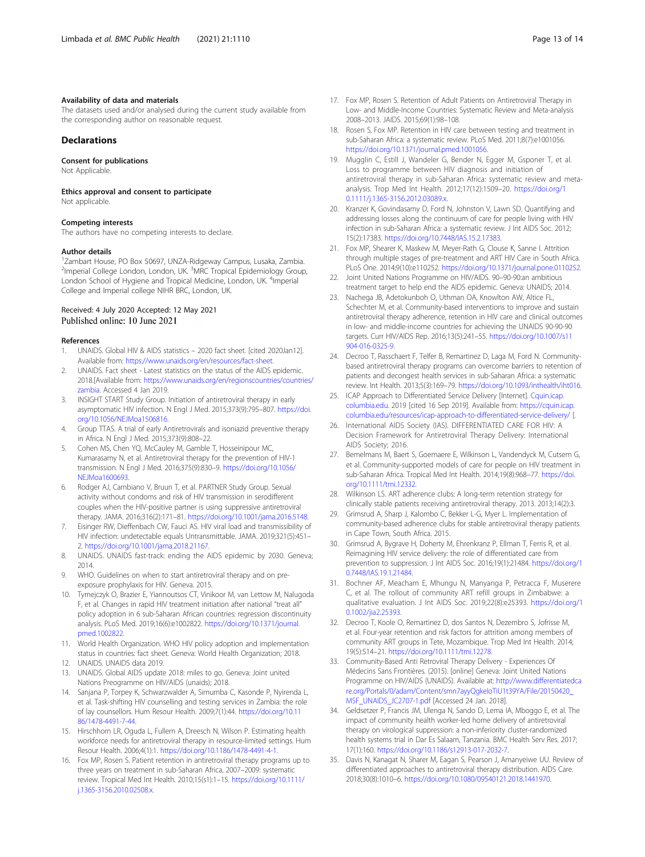#### <span id="page-12-0"></span>Availability of data and materials

The datasets used and/or analysed during the current study available from the corresponding author on reasonable request.

## Declarations

Consent for publications

Not Applicable.

Ethics approval and consent to participate

Not applicable.

#### Competing interests

The authors have no competing interests to declare.

#### Author details

1 Zambart House, PO Box 50697, UNZA-Ridgeway Campus, Lusaka, Zambia. <sup>2</sup>Imperial College London, London, UK. <sup>3</sup>MRC Tropical Epidemiology Group, London School of Hygiene and Tropical Medicine, London, UK. <sup>4</sup>Imperial College and Imperial college NIHR BRC, London, UK.

#### Received: 4 July 2020 Accepted: 12 May 2021 Published online: 10 June 2021

#### References

- 1. UNAIDS. Global HIV & AIDS statistics 2020 fact sheet. [cited 2020Jan12]. Available from: [https://www.unaids.org/en/resources/fact-sheet.](https://www.unaids.org/en/resources/fact-sheet)
- UNAIDS. Fact sheet Latest statistics on the status of the AIDS epidemic. 2018.[Available from: [https://www.unaids.org/en/regionscountries/countries/](https://www.unaids.org/en/regionscountries/countries/zambia) [zambia](https://www.unaids.org/en/regionscountries/countries/zambia). Accessed 4 Jan 2019.
- 3. INSIGHT START Study Group. Initiation of antiretroviral therapy in early asymptomatic HIV infection. N Engl J Med. 2015;373(9):795–807. [https://doi.](https://doi.org/10.1056/NEJMoa1506816) [org/10.1056/NEJMoa1506816.](https://doi.org/10.1056/NEJMoa1506816)
- 4. Group TTAS. A trial of early Antiretrovirals and isoniazid preventive therapy in Africa. N Engl J Med. 2015;373(9):808–22.
- 5. Cohen MS, Chen YQ, McCauley M, Gamble T, Hosseinipour MC, Kumarasamy N, et al. Antiretroviral therapy for the prevention of HIV-1 transmission. N Engl J Med. 2016;375(9):830–9. [https://doi.org/10.1056/](https://doi.org/10.1056/NEJMoa1600693) [NEJMoa1600693](https://doi.org/10.1056/NEJMoa1600693).
- 6. Rodger AJ, Cambiano V, Bruun T, et al. PARTNER Study Group. Sexual activity without condoms and risk of HIV transmission in serodifferent couples when the HIV-positive partner is using suppressive antiretroviral therapy. JAMA. 2016;316(2):171–81. <https://doi.org/10.1001/jama.2016.5148>.
- 7. Eisinger RW, Dieffenbach CW, Fauci AS. HIV viral load and transmissibility of HIV infection: undetectable equals Untransmittable. JAMA. 2019;321(5):451– 2. <https://doi.org/10.1001/jama.2018.21167>.
- 8. UNAIDS. UNAIDS fast-track: ending the AIDS epidemic by 2030. Geneva; 2014.
- 9. WHO. Guidelines on when to start antiretroviral therapy and on preexposure prophylaxis for HIV. Geneva. 2015.
- 10. Tymejczyk O, Brazier E, Yiannoutsos CT, Vinikoor M, van Lettow M, Nalugoda F, et al. Changes in rapid HIV treatment initiation after national "treat all" policy adoption in 6 sub-Saharan African countries: regression discontinuity analysis. PLoS Med. 2019;16(6):e1002822. [https://doi.org/10.1371/journal.](https://doi.org/10.1371/journal.pmed.1002822) [pmed.1002822.](https://doi.org/10.1371/journal.pmed.1002822)
- 11. World Health Organization. WHO HIV policy adoption and implementation status in countries: fact sheet. Geneva: World Health Organization; 2018.
- 12. UNAIDS. UNAIDS data 2019.
- 13. UNAIDS. Global AIDS update 2018: miles to go. Geneva: Joint united Nations Preogramme on HIV/AIDS (unaids); 2018.
- 14. Sanjana P, Torpey K, Schwarzwalder A, Simumba C, Kasonde P, Nyirenda L, et al. Task-shifting HIV counselling and testing services in Zambia: the role of lay counsellors. Hum Resour Health. 2009;7(1):44. [https://doi.org/10.11](https://doi.org/10.1186/1478-4491-7-44) [86/1478-4491-7-44.](https://doi.org/10.1186/1478-4491-7-44)
- 15. Hirschhorn LR, Oguda L, Fullem A, Dreesch N, Wilson P. Estimating health workforce needs for antiretroviral therapy in resource-limited settings. Hum Resour Health. 2006;4(1):1. [https://doi.org/10.1186/1478-4491-4-1.](https://doi.org/10.1186/1478-4491-4-1)
- 16. Fox MP, Rosen S. Patient retention in antiretroviral therapy programs up to three years on treatment in sub-Saharan Africa, 2007–2009: systematic review. Tropical Med Int Health. 2010;15(s1):1–15. [https://doi.org/10.1111/](https://doi.org/10.1111/j.1365-3156.2010.02508.x) [j.1365-3156.2010.02508.x](https://doi.org/10.1111/j.1365-3156.2010.02508.x).
- 17. Fox MP, Rosen S. Retention of Adult Patients on Antiretroviral Therapy in Low- and Middle-Income Countries: Systematic Review and Meta-analysis 2008–2013. JAIDS. 2015;69(1):98–108.
- 18. Rosen S, Fox MP. Retention in HIV care between testing and treatment in sub-Saharan Africa: a systematic review. PLoS Med. 2011;8(7):e1001056. [https://doi.org/10.1371/journal.pmed.1001056.](https://doi.org/10.1371/journal.pmed.1001056)
- 19. Mugglin C, Estill J, Wandeler G, Bender N, Egger M, Gsponer T, et al. Loss to programme between HIV diagnosis and initiation of antiretroviral therapy in sub-Saharan Africa: systematic review and metaanalysis. Trop Med Int Health. 2012;17(12):1509–20. [https://doi.org/1](https://doi.org/10.1111/j.1365-3156.2012.03089.x) [0.1111/j.1365-3156.2012.03089.x.](https://doi.org/10.1111/j.1365-3156.2012.03089.x)
- 20. Kranzer K, Govindasamy D, Ford N, Johnston V, Lawn SD. Quantifying and addressing losses along the continuum of care for people living with HIV infection in sub-Saharan Africa: a systematic review. J Int AIDS Soc. 2012; 15(2):17383. <https://doi.org/10.7448/IAS.15.2.17383>.
- 21. Fox MP, Shearer K, Maskew M, Meyer-Rath G, Clouse K, Sanne I. Attrition through multiple stages of pre-treatment and ART HIV Care in South Africa. PLoS One. 2014;9(10):e110252. [https://doi.org/10.1371/journal.pone.0110252.](https://doi.org/10.1371/journal.pone.0110252)
- 22. Joint United Nations Programme on HIV/AIDS. 90–90-90:an ambitious treatment target to help end the AIDS epidemic. Geneva: UNAIDS; 2014.
- 23. Nachega JB, Adetokunboh O, Uthman OA, Knowlton AW, Altice FL, Schechter M, et al. Community-based interventions to improve and sustain antiretroviral therapy adherence, retention in HIV care and clinical outcomes in low- and middle-income countries for achieving the UNAIDS 90-90-90 targets. Curr HIV/AIDS Rep. 2016;13(5):241–55. [https://doi.org/10.1007/s11](https://doi.org/10.1007/s11904-016-0325-9) [904-016-0325-9.](https://doi.org/10.1007/s11904-016-0325-9)
- 24. Decroo T, Rasschaert F, Telfer B, Remartinez D, Laga M, Ford N. Communitybased antiretroviral therapy programs can overcome barriers to retention of patients and decongest health services in sub-Saharan Africa: a systematic review. Int Health. 2013;5(3):169–79. <https://doi.org/10.1093/inthealth/iht016>.
- 25. ICAP Approach to Differentiated Service Delivery [Internet]. [Cquin.icap.](http://cquin.icap.columbia.edu) [columbia.edu](http://cquin.icap.columbia.edu). 2019 [cited 16 Sep 2019]. Available from: [https://cquin.icap.](https://cquin.icap.columbia.edu/resources/icap-approach-to-differentiated-service-delivery/) [columbia.edu/resources/icap-approach-to-differentiated-service-delivery/](https://cquin.icap.columbia.edu/resources/icap-approach-to-differentiated-service-delivery/) [.
- 26. International AIDS Society (IAS). DIFFERENTIATED CARE FOR HIV: A Decision Framework for Antiretroviral Therapy Delivery: International AIDS Society; 2016.
- 27. Bemelmans M, Baert S, Goemaere E, Wilkinson L, Vandendyck M, Cutsem G, et al. Community-supported models of care for people on HIV treatment in sub-Saharan Africa. Tropical Med Int Health. 2014;19(8):968–77. [https://doi.](https://doi.org/10.1111/tmi.12332) [org/10.1111/tmi.12332.](https://doi.org/10.1111/tmi.12332)
- 28. Wilkinson LS. ART adherence clubs: A long-term retention strategy for clinically stable patients receiving antiretroviral therapy. 2013. 2013;14(2):3.
- 29. Grimsrud A, Sharp J, Kalombo C, Bekker L-G, Myer L. Implementation of community-based adherence clubs for stable antiretroviral therapy patients in Cape Town, South Africa. 2015.
- 30. Grimsrud A, Bygrave H, Doherty M, Ehrenkranz P, Ellman T, Ferris R, et al. Reimagining HIV service delivery: the role of differentiated care from prevention to suppression. J Int AIDS Soc. 2016;19(1):21484. [https://doi.org/1](https://doi.org/10.7448/IAS.19.1.21484) [0.7448/IAS.19.1.21484](https://doi.org/10.7448/IAS.19.1.21484).
- 31. Bochner AF, Meacham E, Mhungu N, Manyanga P, Petracca F, Muserere C, et al. The rollout of community ART refill groups in Zimbabwe: a qualitative evaluation. J Int AIDS Soc. 2019;22(8):e25393. [https://doi.org/1](https://doi.org/10.1002/jia2.25393) [0.1002/jia2.25393.](https://doi.org/10.1002/jia2.25393)
- 32. Decroo T, Koole O, Remartinez D, dos Santos N, Dezembro S, Jofrisse M, et al. Four-year retention and risk factors for attrition among members of community ART groups in Tete, Mozambique. Trop Med Int Health. 2014; 19(5):514–21. [https://doi.org/10.1111/tmi.12278.](https://doi.org/10.1111/tmi.12278)
- 33. Community-Based Anti Retroviral Therapy Delivery Experiences Of Médecins Sans Frontières. (2015). [online] Geneva: Joint United Nations Programme on HIV/AIDS (UNAIDS). Available at: [http://www.differentiatedca](http://www.differentiatedcare.org/Portals/0/adam/Content/smn7ayyQgkeIoTiU1t39YA/File/20150420_MSF_UNAIDS_JC2707-1.pdf) [re.org/Portals/0/adam/Content/smn7ayyQgkeIoTiU1t39YA/File/20150420\\_](http://www.differentiatedcare.org/Portals/0/adam/Content/smn7ayyQgkeIoTiU1t39YA/File/20150420_MSF_UNAIDS_JC2707-1.pdf) [MSF\\_UNAIDS\\_JC2707-1.pdf](http://www.differentiatedcare.org/Portals/0/adam/Content/smn7ayyQgkeIoTiU1t39YA/File/20150420_MSF_UNAIDS_JC2707-1.pdf) [Accessed 24 Jan. 2018].
- 34. Geldsetzer P, Francis JM, Ulenga N, Sando D, Lema IA, Mboggo E, et al. The impact of community health worker-led home delivery of antiretroviral therapy on virological suppression: a non-inferiority cluster-randomized health systems trial in Dar Es Salaam, Tanzania. BMC Health Serv Res. 2017; 17(1):160. [https://doi.org/10.1186/s12913-017-2032-7.](https://doi.org/10.1186/s12913-017-2032-7)
- 35. Davis N, Kanagat N, Sharer M, Eagan S, Pearson J, Amanyeiwe UU. Review of differentiated approaches to antiretroviral therapy distribution. AIDS Care. 2018;30(8):1010–6. <https://doi.org/10.1080/09540121.2018.1441970>.